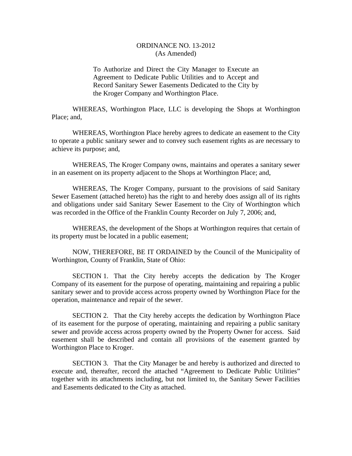## ORDINANCE NO. 13-2012 (As Amended)

To Authorize and Direct the City Manager to Execute an Agreement to Dedicate Public Utilities and to Accept and Record Sanitary Sewer Easements Dedicated to the City by the Kroger Company and Worthington Place.

 WHEREAS, Worthington Place, LLC is developing the Shops at Worthington Place; and,

 WHEREAS, Worthington Place hereby agrees to dedicate an easement to the City to operate a public sanitary sewer and to convey such easement rights as are necessary to achieve its purpose; and,

 WHEREAS, The Kroger Company owns, maintains and operates a sanitary sewer in an easement on its property adjacent to the Shops at Worthington Place; and,

 WHEREAS, The Kroger Company, pursuant to the provisions of said Sanitary Sewer Easement (attached hereto) has the right to and hereby does assign all of its rights and obligations under said Sanitary Sewer Easement to the City of Worthington which was recorded in the Office of the Franklin County Recorder on July 7, 2006; and,

 WHEREAS, the development of the Shops at Worthington requires that certain of its property must be located in a public easement;

 NOW, THEREFORE, BE IT ORDAINED by the Council of the Municipality of Worthington, County of Franklin, State of Ohio:

 SECTION 1. That the City hereby accepts the dedication by The Kroger Company of its easement for the purpose of operating, maintaining and repairing a public sanitary sewer and to provide access across property owned by Worthington Place for the operation, maintenance and repair of the sewer.

 SECTION 2. That the City hereby accepts the dedication by Worthington Place of its easement for the purpose of operating, maintaining and repairing a public sanitary sewer and provide access across property owned by the Property Owner for access. Said easement shall be described and contain all provisions of the easement granted by Worthington Place to Kroger.

 SECTION 3. That the City Manager be and hereby is authorized and directed to execute and, thereafter, record the attached "Agreement to Dedicate Public Utilities" together with its attachments including, but not limited to, the Sanitary Sewer Facilities and Easements dedicated to the City as attached.